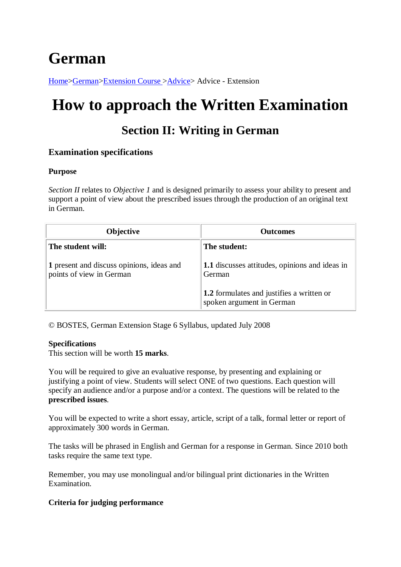# **German**

[Home>](http://www.hsc.csu.edu.au/)[German](http://www.hsc.csu.edu.au/german/)[>Extension Course >](http://www.hsc.csu.edu.au/german/#112077)[Advice>](http://www.hsc.csu.edu.au/german/extension/advice/) Advice - Extension

# **How to approach the Written Examination**

# **Section II: Writing in German**

# **Examination specifications**

#### **Purpose**

*Section II* relates to *Objective 1* and is designed primarily to assess your ability to present and support a point of view about the prescribed issues through the production of an original text in German.

| <b>Objective</b>                                                      | <b>Outcomes</b>                                                               |
|-----------------------------------------------------------------------|-------------------------------------------------------------------------------|
| The student will:                                                     | The student:                                                                  |
| 1 present and discuss opinions, ideas and<br>points of view in German | 1.1 discusses attitudes, opinions and ideas in<br>German                      |
|                                                                       | <b>1.2</b> formulates and justifies a written or<br>spoken argument in German |

© BOSTES, German Extension Stage 6 Syllabus, updated July 2008

#### **Specifications**

This section will be worth **15 marks**.

You will be required to give an evaluative response, by presenting and explaining or justifying a point of view. Students will select ONE of two questions. Each question will specify an audience and/or a purpose and/or a context. The questions will be related to the **prescribed issues**.

You will be expected to write a short essay, article, script of a talk, formal letter or report of approximately 300 words in German.

The tasks will be phrased in English and German for a response in German. Since 2010 both tasks require the same text type.

Remember, you may use monolingual and/or bilingual print dictionaries in the Written Examination.

### **Criteria for judging performance**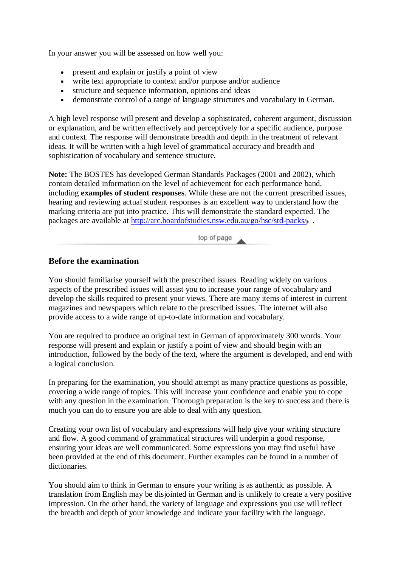In your answer you will be assessed on how well you:

- present and explain or justify a point of view
- write text appropriate to context and/or purpose and/or audience
- structure and sequence information, opinions and ideas
- demonstrate control of a range of language structures and vocabulary in German.

A high level response will present and develop a sophisticated, coherent argument, discussion or explanation, and be written effectively and perceptively for a specific audience, purpose and context. The response will demonstrate breadth and depth in the treatment of relevant ideas. It will be written with a high level of grammatical accuracy and breadth and sophistication of vocabulary and sentence structure.

**Note:** The BOSTES has developed German Standards Packages (2001 and 2002), which contain detailed information on the level of achievement for each performance band, including **examples of student responses**. While these are not the current prescribed issues, hearing and reviewing actual student responses is an excellent way to understand how the marking criteria are put into practice. This will demonstrate the standard expected. The packages are available at<http://arc.boardofstudies.nsw.edu.au/go/hsc/std-packs/> .

top of page

### **Before the examination**

You should familiarise yourself with the prescribed issues. Reading widely on various aspects of the prescribed issues will assist you to increase your range of vocabulary and develop the skills required to present your views. There are many items of interest in current magazines and newspapers which relate to the prescribed issues. The internet will also provide access to a wide range of up-to-date information and vocabulary.

You are required to produce an original text in German of approximately 300 words. Your response will present and explain or justify a point of view and should begin with an introduction, followed by the body of the text, where the argument is developed, and end with a logical conclusion.

In preparing for the examination, you should attempt as many practice questions as possible, covering a wide range of topics. This will increase your confidence and enable you to cope with any question in the examination. Thorough preparation is the key to success and there is much you can do to ensure you are able to deal with any question.

Creating your own list of vocabulary and expressions will help give your writing structure and flow. A good command of grammatical structures will underpin a good response, ensuring your ideas are well communicated. Some expressions you may find useful have been provided at the end of this document. Further examples can be found in a number of dictionaries.

You should aim to think in German to ensure your writing is as authentic as possible. A translation from English may be disjointed in German and is unlikely to create a very positive impression. On the other hand, the variety of language and expressions you use will reflect the breadth and depth of your knowledge and indicate your facility with the language.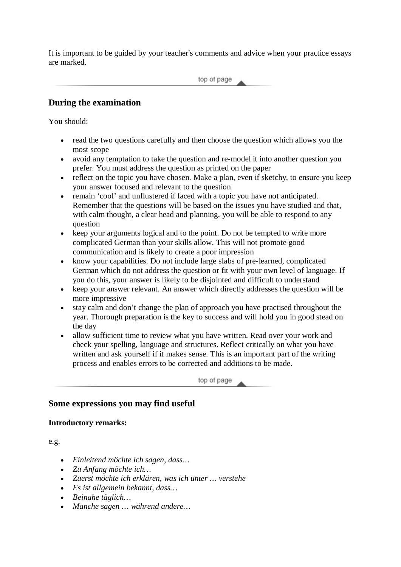It is important to be guided by your teacher's comments and advice when your practice essays are marked.

top of page

## **During the examination**

You should:

- read the two questions carefully and then choose the question which allows you the most scope
- avoid any temptation to take the question and re-model it into another question you prefer. You must address the question as printed on the paper
- reflect on the topic you have chosen. Make a plan, even if sketchy, to ensure you keep your answer focused and relevant to the question
- remain 'cool' and unflustered if faced with a topic you have not anticipated. Remember that the questions will be based on the issues you have studied and that, with calm thought, a clear head and planning, you will be able to respond to any question
- keep your arguments logical and to the point. Do not be tempted to write more complicated German than your skills allow. This will not promote good communication and is likely to create a poor impression
- know your capabilities. Do not include large slabs of pre-learned, complicated German which do not address the question or fit with your own level of language. If you do this, your answer is likely to be disjointed and difficult to understand
- keep your answer relevant. An answer which directly addresses the question will be more impressive
- stay calm and don't change the plan of approach you have practised throughout the year. Thorough preparation is the key to success and will hold you in good stead on the day
- allow sufficient time to review what you have written. Read over your work and check your spelling, language and structures. Reflect critically on what you have written and ask yourself if it makes sense. This is an important part of the writing process and enables errors to be corrected and additions to be made.

top of page

### **Some expressions you may find useful**

#### **Introductory remarks:**

e.g.

- *Einleitend möchte ich sagen, dass…*
- *Zu Anfang möchte ich…*
- *Zuerst möchte ich erklären, was ich unter … verstehe*
- *Es ist allgemein bekannt, dass…*
- *Beinahe täglich…*
- *Manche sagen … während andere…*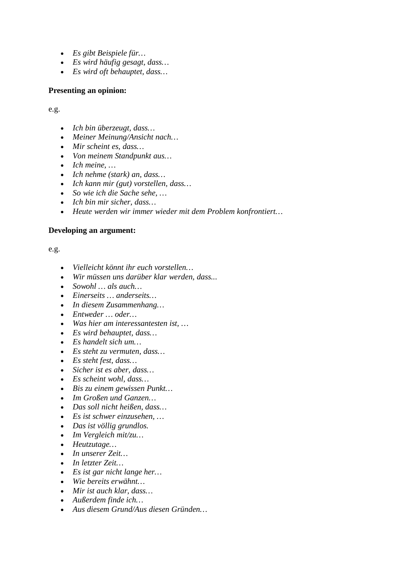- *Es gibt Beispiele für…*
- *Es wird häufig gesagt, dass…*
- *Es wird oft behauptet, dass…*

#### **Presenting an opinion:**

e.g.

- *Ich bin überzeugt, dass…*
- *Meiner Meinung/Ansicht nach…*
- *Mir scheint es, dass…*
- *Von meinem Standpunkt aus…*
- *Ich meine, …*
- *Ich nehme (stark) an, dass…*
- *Ich kann mir (gut) vorstellen, dass…*
- *So wie ich die Sache sehe, …*
- *Ich bin mir sicher, dass…*
- *Heute werden wir immer wieder mit dem Problem konfrontiert…*

#### **Developing an argument:**

e.g.

- *Vielleicht könnt ihr euch vorstellen…*
- *Wir müssen uns darüber klar werden, dass...*
- *Sowohl … als auch…*
- *Einerseits … anderseits…*
- *In diesem Zusammenhang…*
- *Entweder … oder…*
- *Was hier am interessantesten ist, …*
- *Es wird behauptet, dass…*
- *Es handelt sich um…*
- *Es steht zu vermuten, dass…*
- *Es steht fest, dass…*
- *Sicher ist es aber, dass…*
- *Es scheint wohl, dass…*
- *Bis zu einem gewissen Punkt…*
- *Im Großen und Ganzen…*
- *Das soll nicht heißen, dass…*
- *Es ist schwer einzusehen, …*
- *Das ist völlig grundlos.*
- *Im Vergleich mit/zu…*
- *Heutzutage…*
- *In unserer Zeit…*
- *In letzter Zeit…*
- *Es ist gar nicht lange her…*
- *Wie bereits erwähnt…*
- *Mir ist auch klar, dass…*
- *Außerdem finde ich…*
- *Aus diesem Grund/Aus diesen Gründen…*